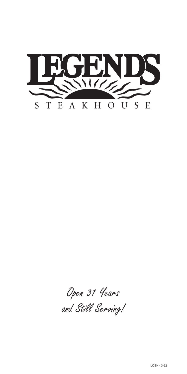

Open 31 Years and Still Serving!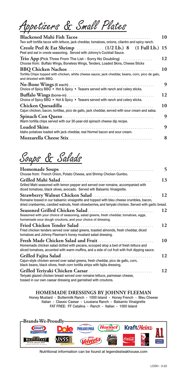Appetizers & Small Plates

| Two soft tortilla tacos with lettuce, jack cheddar, tomatoes, onions, cilantro and spicy ranch.                                             | 10 |
|---------------------------------------------------------------------------------------------------------------------------------------------|----|
| Creole Peel & Eat Shrimp  (1/2 Lb.) 8 (1 Full Lb.) 15<br>Peel and eat in creole seasoning. Served with Johnny's Cocktail Sauce.             |    |
| Trio App (Pick Three From The List - Sorry No Doubling)<br>Choose from: Buffalo Wings, Boneless Wings, Tenders, Loaded Skins, Cheese Sticks | 12 |
| Tortilla Chips topped with chicken, white cheese sauce, jack cheddar, beans, corn, pico de galo,<br>and drizzled with BBQ.                  | 10 |
| Choice of Spicy BBQ • Hot & Spicy • Teasers served with ranch and celery sticks.                                                            | 9  |
| Choice of Spicy BBQ • Hot & Spicy • Teasers served with ranch and celery sticks.                                                            | 12 |
| Cajun chicken, bacon, tortillas, pico de gallo, jack cheddar, served with sour cream and salsa.                                             | 10 |
| Warm tortilla chips served with our 30-year-old spinach cheese dip recipe.                                                                  | 9  |
| Idaho potatoes loaded with jack cheddar, real Hormel bacon and sour cream.                                                                  | 9  |
|                                                                                                                                             | 8  |

## Soups & Salads

| Choose from: French Onion, Potato Cheese, and Shrimp Chicken Gumbo.                                                                                                                                                                | 5  |
|------------------------------------------------------------------------------------------------------------------------------------------------------------------------------------------------------------------------------------|----|
| Grilled Mahi Salad<br>Grilled Mahi seasoned with lemon pepper and served over romaine, accompanied with<br>diced tomatoes, black olives, avocado. Served wth Balsamic Vinaigrette.                                                 | 13 |
| Romaine tossed in our balsamic vinaigrette and topped with bleu cheese crumbles, bacon,<br>dried cranberries, candied walnuts, fresh strawberries, and teriyaki chicken. Served with garlic bread.                                 | 12 |
| Seasoned with your choice of seasoning, salad greens, fresh cheddar, tomatoes, eggs,<br>homemade sour dough croutons, and your choice of dressing.                                                                                 | 12 |
| Fried Chicken Tender Salad<br>Fried chicken tenders served over salad greens, toasted almonds, fresh cheddar, diced<br>tomatoes and Johnny Fleeman's honey mustard salad dressing.                                                 | 12 |
| <b>Fresh Made Chicken Salad and Fruit.</b><br>Homemade chicken salad dotted with pecans, scooped atop a bed of fresh lettuce and<br>sliced tomatoes, accented with warm muffins, and a side of cut fruit with fruit dipping sauce. | 10 |
| Cajun-style chicken served over salad greens, fresh cheddar, pico de gallo, corn,<br>black beans, black olives, fresh corn tortilla strips with fajita dressing.                                                                   | 12 |
| Teriyaki glazed chicken breast served over romaine lettuce, parmesan cheese,<br>tossed in our own caesar dressing and garnished with croutons.                                                                                     | 12 |

## **HOMEMADE DRESSINGS BY JOHNNY FLEEMAN**

Honey Mustard - Buttermilk Ranch - 1000 Island - Honey French - Bleu Cheese Italian - Classic Caesar - Lousiana Ranch - Balsamic Vinaigrette FAT FREE: FF Catalina - Ranch - Italian - 1000 Island



Nutritional information can be found at legendssteakhouse.com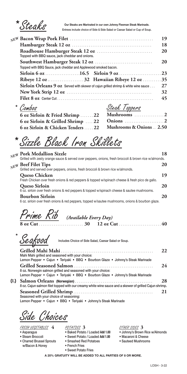Steaks

**Our Steaks are Marinated in our own Johnny Fleeman Steak Marinade.**<br>Entrees include choice of Side & Side Salad or Caesar Salad or Cup of Soup.

|                                                                                                   | 19 |
|---------------------------------------------------------------------------------------------------|----|
|                                                                                                   | 18 |
|                                                                                                   | 20 |
| Topped with BBQ Sauce, jack cheddar and Applewood smoked bacon.                                   | 20 |
|                                                                                                   |    |
|                                                                                                   |    |
| <b>Sirloin Orleans 9 oz</b> Served with skewer of cajun grilled shrimp & white wine sauce $\dots$ | 27 |
|                                                                                                   | 32 |
|                                                                                                   | 45 |

**\*** 

| Combos                                       | Steak Toppers                       |
|----------------------------------------------|-------------------------------------|
| 6 oz Sirloin & Fried Shrimp  22 Mushrooms  2 |                                     |
|                                              |                                     |
| 6 oz Sirloin & Chicken Tenders  22           | <b>Mushrooms &amp; Onions  2.50</b> |

Sizzle Black Iron Skillets **\*** 

|     | NEW Pork Medallion Sizzle<br>Grilled with zesty orange sauce & served over peppers, onions, fresh broccoli & brown rice w/almonds. | 18 |
|-----|------------------------------------------------------------------------------------------------------------------------------------|----|
| NEW | <b>Beef Filet Tips</b><br>Grilled and served over peppers, onions, fresh broccoli & brown rice w/almonds.                          | 20 |
|     | <b>Queso Chicken</b><br>Fresh Chicken over fresh onions & red peppers & topped w/spinach cheese & fresh pico de gallo.             | 19 |
|     | <b>Queso Sirloin</b><br>6 oz. sirloin over fresh onions & red peppers & topped w/spinach cheese & sautee mushrooms.                | 20 |
|     | <b>Bourbon Sirloin</b><br>6 oz. sirloin over fresh onions & red peppers, topped w/sautee mushrooms, onions & bourbon glaze.        | 20 |

Prime Rib *(Available Every Day)*

**8 oz Cut** . . . . . . . . . . . . . . . . . . . . . . . . **30 12 oz Cut** . . . . . . . . . . . . . . . . . . . . . . . **40**

Seafood **\***

Includes Choice of Side Salad, Caesar Salad or Soup.

|                                                                                                            | 22 |
|------------------------------------------------------------------------------------------------------------|----|
| Mahi Mahi grilled and seasoned with your choice:                                                           |    |
| Lemon Pepper • Cajun • Teriyaki • BBQ • Bourbon Glaze • Johnny's Steak Marinade                            | 24 |
| 8 oz. Norwegin salmon grilled and seasoned with your choice:                                               |    |
| Lemon Pepper • Cajun • Teriyaki • BBQ • Bourbon Glaze • Johnny's Steak Marinade                            | 28 |
| 8 oz. Cajun salmon filet topped with our creamy white wine sauce and a skewer of grilled Cajun shrimp.     |    |
|                                                                                                            | 21 |
| Seasoned with your choice of seasoning:<br>Lemon Pepper • Cajun • BBQ • Teriyaki • Johnny's Steak Marinade |    |

Side Choices

FRESH VEGETABLES **4**

• Asparagus

**{L}**

- Steam Broccoli
- Charred Brussel Sprouts w/Bacon & Honey
- POTATOES **3**
- Baked Potato / Loaded **Add 1.00**
- Sweet Potato / Loaded **Add 1.00**
- Smashed Red Potatoes
- French Fries • Sweet Potato Fries

## OTHER SIDES **3**

- Johnny's Brown Rice w/Almonds
- Macaroni & Cheese
- Sauteed Mushrooms

**A 20% GRATUITY WILL BE ADDED TO ALL PARTIES OF 8 OR MORE.**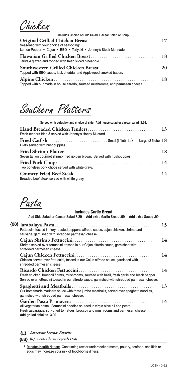Chicken

| Includes Choice of Side Salad, Caesar Salad or Soup.                                                       |           |
|------------------------------------------------------------------------------------------------------------|-----------|
| Seasoned with your choice of seasoning:<br>Lemon Pepper • Cajun • BBQ • Teriyaki • Johnny's Steak Marinade | 17        |
| Teriyaki glazed and topped with fresh sliced pineapple.                                                    | 18        |
| Topped with BBQ sauce, jack cheddar and Applewood smoked bacon.                                            | <b>20</b> |
| Topped with our made in house alfredo, sauteed mushrooms, and parmesan cheese.                             | 18        |

Southern Platters

| Served with coleslaw and choice of side. Add house salad or caesar salad 3.29. |    |
|--------------------------------------------------------------------------------|----|
| Fresh tenders fried & served with Johnny's Honey Mustard.                      | 13 |
| Filets served with hushpuppies.                                                |    |
| Seven tail on gourmet shrimp fried golden brown. Served with hushpuppies.      | 18 |
| Two boneless pork chops served with white gravy.                               | 14 |
| Breaded beef steak served with white gravy.                                    | 14 |

Pasta

| <b>Includes Garlic Bread</b>                                                                                                                                                                    |    |
|-------------------------------------------------------------------------------------------------------------------------------------------------------------------------------------------------|----|
| Add Side Salad or Caesar Salad 3.29 Add extra Garlic Bread .99 Add extra Sauce .99                                                                                                              |    |
| Fettuccini tossed in fiery roasted peppers, alfredo sauce, cajun chicken, shrimp and<br>sausage, garnished with shredded parmesan cheese.                                                       | 15 |
| Shrimp served over fettuccini, tossed in our Cajun alfredo sauce, garnished with<br>shredded parmesan cheese.                                                                                   | 14 |
| Chicken served over fettuccini, tossed in our Cajun alfredo sauce, garnished with<br>shredded parmesan cheese.                                                                                  | 14 |
| Fresh chicken, broccoli florets, mushrooms, sauteed with basil, fresh garlic and black pepper.<br>Served over fettuccini tossed in our alfredo sauce. garnished with shredded parmesan cheese.  | 14 |
| Our homemade marinara sauce with three jumbo meatballs, served over spaghetti noodles,<br>garnished with shredded parmesan cheese. .                                                            | 13 |
| All vegetarian pasta. Fettuccini noodles sauteed in virgin olive oil and pesto.<br>Fresh asparagus, sun-dried tomatoes, broccoli and mushrooms and parmesan cheese.<br>Add grilled chicken 3.00 | 14 |
|                                                                                                                                                                                                 |    |

**{L}** *Represents Legends Favorite*

**{88}** *Represents Classic Legends Dish*

**Denotes Health Notice:** Consuming raw or undercooked meats, poultry, seafood, shellfish or **\*** eggs may increase your risk of food-borne illness.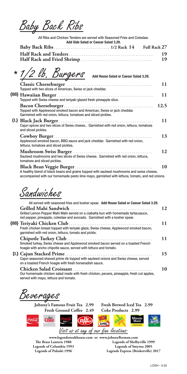Baby Back Ribs

All Ribs and Chicken Tenders are served with Seasoned Fries and Coleslaw. **Add Side Salad or Caesar Salad 3.29.**

|  |  |  | - 19 |
|--|--|--|------|
|  |  |  |      |

**\*** 1/2 lb, Burgers Add House Salad or Caesar Salad 3.29.

| Topped with two slices of American, Swiss or jack cheddar.                                                                                 | 11   |
|--------------------------------------------------------------------------------------------------------------------------------------------|------|
| Topped with Swiss cheese and teriyaki glazed fresh pineapple slice.                                                                        | 11   |
| Topped with Applewood smoked bacon and American, Swiss or jack cheddar.<br>Garnished with red onion, lettuce, tomatoes and sliced pickles. | 12.5 |
| Cajun spices and two slices of Swiss cheese Garnished with red onion, lettuce, tomatoes<br>and sliced pickles.                             | 11   |
| Applewood smoked bacon, BBQ sauce and jack cheddar. Garnished with red onion,<br>lettuce, tomatoes and sliced pickles.                     | 13   |
| Sauteed mushrooms and two slices of Swiss cheese. Garnished with red onion, lettuce,<br>tomatoes and sliced pickles.                       | 12   |
| A healthy blend of black beans and grains topped with sauteed mushrooms and swiss cheese,                                                  | 10   |

accompanied with our homemade pesto lime mayo, garnished with lettuce, tomato, and red onions.

Sandwiches

| All served with seasoned fries and kosher spear. Add House Salad or Caesar Salad 3.29.                                                                              |    |
|---------------------------------------------------------------------------------------------------------------------------------------------------------------------|----|
|                                                                                                                                                                     | 12 |
| Grilled Lemon Pepper Mahi Mahi served on a ciabatta bun with homemade tartar, sauce,<br>red pepper, pineapple, coleslaw and avocado. Garnished with a kosher spear. |    |
|                                                                                                                                                                     | 11 |
| Fresh chicken breast topped with teriyaki glaze, Swiss cheese, Applewood smoked bacon,<br>garnished with red onion, lettuce, tomato and pickle.                     |    |
| Smoked turkey, Swiss cheese and Applewood smoked bacon served on a toasted French<br>hoagie with ancho chipotle sauce, served with lettuce and tomato.              | 11 |
| Cajun seasoned shaved prime rib topped with sauteed onions and Swiss cheese, served<br>on a toasted French hoagie with fresh horseradish sauce.                     | 15 |
| Our homemade chicken salad made with fresh chicken, pecans, pineapple, fresh cut apples,<br>served with mayo, lettuce and tomato.                                   | 10 |

Beverages

**Johnny's Famous Fruit Tea 2.99 Fresh Brewed Iced Tea 2.99 Fresh Ground Coffee 2.49 Coke Products 2.99**



**www.legendssteakhouse.com or www.johnnyfleeman.com The Brass Lantern 1988 Legends of Columbia 1993 Legends of Pulaski 1996 Legends of Shelbyville 1999 Legends of Smyrna 2005 Legends Express (Brisketville) 2017**